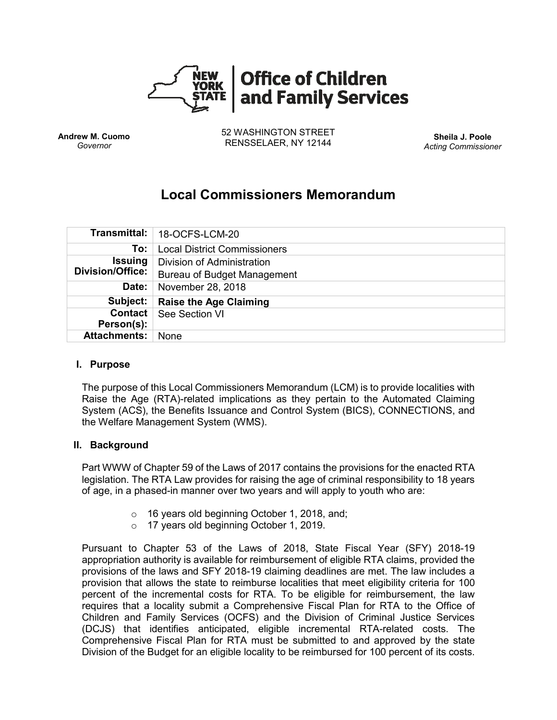

**Andrew M. Cuomo** *Governor*

52 WASHINGTON STREET RENSSELAER, NY 12144 **Sheila J. Poole**

*Acting Commissioner*

# **Local Commissioners Memorandum**

|                                           | Transmittal:   18-OCFS-LCM-20       |
|-------------------------------------------|-------------------------------------|
| To:                                       | <b>Local District Commissioners</b> |
| <b>Issuing</b><br><b>Division/Office:</b> | Division of Administration          |
|                                           | <b>Bureau of Budget Management</b>  |
| Date:                                     | November 28, 2018                   |
| Subject:                                  | <b>Raise the Age Claiming</b>       |
| Contact                                   | See Section VI                      |
| Person(s):                                |                                     |
| <b>Attachments:</b>                       | <b>None</b>                         |

#### **I. Purpose**

The purpose of this Local Commissioners Memorandum (LCM) is to provide localities with Raise the Age (RTA)-related implications as they pertain to the Automated Claiming System (ACS), the Benefits Issuance and Control System (BICS), CONNECTIONS, and the Welfare Management System (WMS).

#### **II. Background**

Part WWW of Chapter 59 of the Laws of 2017 contains the provisions for the enacted RTA legislation. The RTA Law provides for raising the age of criminal responsibility to 18 years of age, in a phased-in manner over two years and will apply to youth who are:

- o 16 years old beginning October 1, 2018, and;
- o 17 years old beginning October 1, 2019.

Pursuant to Chapter 53 of the Laws of 2018, State Fiscal Year (SFY) 2018-19 appropriation authority is available for reimbursement of eligible RTA claims, provided the provisions of the laws and SFY 2018-19 claiming deadlines are met. The law includes a provision that allows the state to reimburse localities that meet eligibility criteria for 100 percent of the incremental costs for RTA. To be eligible for reimbursement, the law requires that a locality submit a Comprehensive Fiscal Plan for RTA to the Office of Children and Family Services (OCFS) and the Division of Criminal Justice Services (DCJS) that identifies anticipated, eligible incremental RTA-related costs. The Comprehensive Fiscal Plan for RTA must be submitted to and approved by the state Division of the Budget for an eligible locality to be reimbursed for 100 percent of its costs.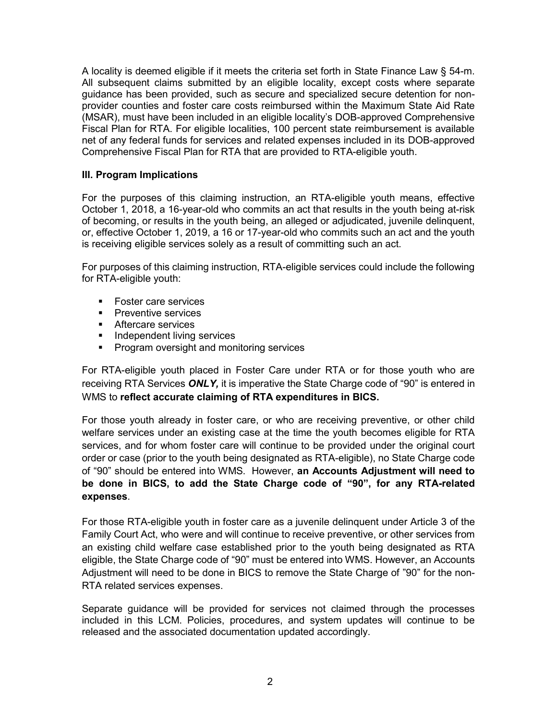A locality is deemed eligible if it meets the criteria set forth in State Finance Law § 54-m. All subsequent claims submitted by an eligible locality, except costs where separate guidance has been provided, such as secure and specialized secure detention for nonprovider counties and foster care costs reimbursed within the Maximum State Aid Rate (MSAR), must have been included in an eligible locality's DOB-approved Comprehensive Fiscal Plan for RTA. For eligible localities, 100 percent state reimbursement is available net of any federal funds for services and related expenses included in its DOB-approved Comprehensive Fiscal Plan for RTA that are provided to RTA-eligible youth.

## **III. Program Implications**

For the purposes of this claiming instruction, an RTA-eligible youth means, effective October 1, 2018, a 16-year-old who commits an act that results in the youth being at-risk of becoming, or results in the youth being, an alleged or adjudicated, juvenile delinquent, or, effective October 1, 2019, a 16 or 17-year-old who commits such an act and the youth is receiving eligible services solely as a result of committing such an act.

For purposes of this claiming instruction, RTA-eligible services could include the following for RTA-eligible youth:

- Foster care services
- **•** Preventive services
- Aftercare services
- **■** Independent living services
- **Program oversight and monitoring services**

For RTA-eligible youth placed in Foster Care under RTA or for those youth who are receiving RTA Services *ONLY,* it is imperative the State Charge code of "90" is entered in WMS to **reflect accurate claiming of RTA expenditures in BICS.**

For those youth already in foster care, or who are receiving preventive, or other child welfare services under an existing case at the time the youth becomes eligible for RTA services, and for whom foster care will continue to be provided under the original court order or case (prior to the youth being designated as RTA-eligible), no State Charge code of "90" should be entered into WMS. However, **an Accounts Adjustment will need to be done in BICS, to add the State Charge code of "90", for any RTA-related expenses**.

For those RTA-eligible youth in foster care as a juvenile delinquent under Article 3 of the Family Court Act, who were and will continue to receive preventive, or other services from an existing child welfare case established prior to the youth being designated as RTA eligible, the State Charge code of "90" must be entered into WMS. However, an Accounts Adjustment will need to be done in BICS to remove the State Charge of "90" for the non-RTA related services expenses.

Separate guidance will be provided for services not claimed through the processes included in this LCM. Policies, procedures, and system updates will continue to be released and the associated documentation updated accordingly.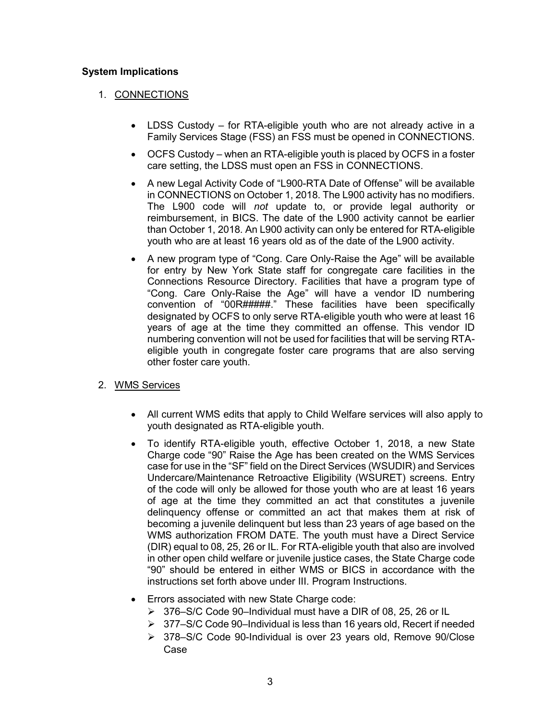## **System Implications**

## 1. CONNECTIONS

- LDSS Custody for RTA-eligible youth who are not already active in a Family Services Stage (FSS) an FSS must be opened in CONNECTIONS.
- OCFS Custody when an RTA-eligible youth is placed by OCFS in a foster care setting, the LDSS must open an FSS in CONNECTIONS.
- A new Legal Activity Code of "L900-RTA Date of Offense" will be available in CONNECTIONS on October 1, 2018. The L900 activity has no modifiers. The L900 code will *not* update to, or provide legal authority or reimbursement, in BICS. The date of the L900 activity cannot be earlier than October 1, 2018. An L900 activity can only be entered for RTA-eligible youth who are at least 16 years old as of the date of the L900 activity.
- A new program type of "Cong. Care Only-Raise the Age" will be available for entry by New York State staff for congregate care facilities in the Connections Resource Directory. Facilities that have a program type of "Cong. Care Only-Raise the Age" will have a vendor ID numbering convention of "00R#####." These facilities have been specifically designated by OCFS to only serve RTA-eligible youth who were at least 16 years of age at the time they committed an offense. This vendor ID numbering convention will not be used for facilities that will be serving RTAeligible youth in congregate foster care programs that are also serving other foster care youth.

### 2. WMS Services

- All current WMS edits that apply to Child Welfare services will also apply to youth designated as RTA-eligible youth.
- To identify RTA-eligible youth, effective October 1, 2018, a new State Charge code "90" Raise the Age has been created on the WMS Services case for use in the "SF" field on the Direct Services (WSUDIR) and Services Undercare/Maintenance Retroactive Eligibility (WSURET) screens. Entry of the code will only be allowed for those youth who are at least 16 years of age at the time they committed an act that constitutes a juvenile delinquency offense or committed an act that makes them at risk of becoming a juvenile delinquent but less than 23 years of age based on the WMS authorization FROM DATE. The youth must have a Direct Service (DIR) equal to 08, 25, 26 or IL. For RTA-eligible youth that also are involved in other open child welfare or juvenile justice cases, the State Charge code "90" should be entered in either WMS or BICS in accordance with the instructions set forth above under III. Program Instructions.
- Errors associated with new State Charge code:
	- ➢ 376–S/C Code 90–Individual must have a DIR of 08, 25, 26 or IL
	- ➢ 377–S/C Code 90–Individual is less than 16 years old, Recert if needed
	- ➢ 378–S/C Code 90-Individual is over 23 years old, Remove 90/Close Case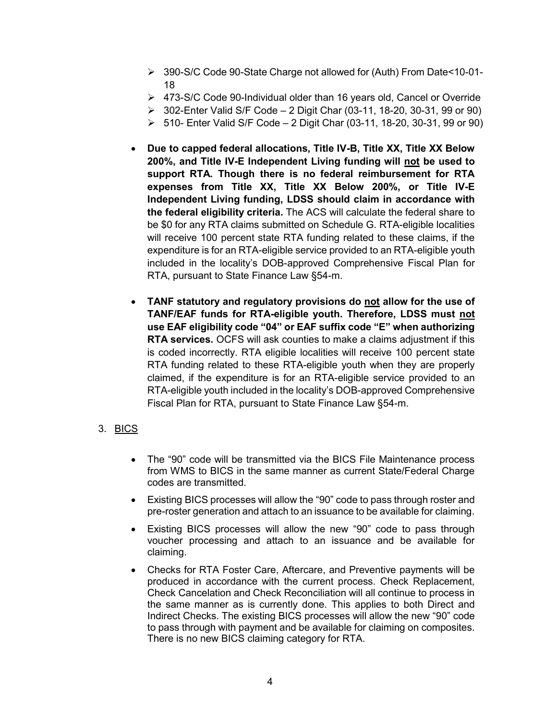- ➢ 390-S/C Code 90-State Charge not allowed for (Auth) From Date<10-01- 18
- ➢ 473-S/C Code 90-Individual older than 16 years old, Cancel or Override
- ➢ 302-Enter Valid S/F Code 2 Digit Char (03-11, 18-20, 30-31, 99 or 90)
- ➢ 510- Enter Valid S/F Code 2 Digit Char (03-11, 18-20, 30-31, 99 or 90)
- **Due to capped federal allocations, Title IV-B, Title XX, Title XX Below 200%, and Title IV-E Independent Living funding will not be used to support RTA. Though there is no federal reimbursement for RTA expenses from Title XX, Title XX Below 200%, or Title IV-E Independent Living funding, LDSS should claim in accordance with the federal eligibility criteria.** The ACS will calculate the federal share to be \$0 for any RTA claims submitted on Schedule G. RTA-eligible localities will receive 100 percent state RTA funding related to these claims, if the expenditure is for an RTA-eligible service provided to an RTA-eligible youth included in the locality's DOB-approved Comprehensive Fiscal Plan for RTA, pursuant to State Finance Law §54-m.
- **TANF statutory and regulatory provisions do not allow for the use of TANF/EAF funds for RTA-eligible youth. Therefore, LDSS must not use EAF eligibility code "04" or EAF suffix code "E" when authorizing RTA services.** OCFS will ask counties to make a claims adjustment if this is coded incorrectly. RTA eligible localities will receive 100 percent state RTA funding related to these RTA-eligible youth when they are properly claimed, if the expenditure is for an RTA-eligible service provided to an RTA-eligible youth included in the locality's DOB-approved Comprehensive Fiscal Plan for RTA, pursuant to State Finance Law §54-m.

### 3. BICS

- The "90" code will be transmitted via the BICS File Maintenance process from WMS to BICS in the same manner as current State/Federal Charge codes are transmitted.
- Existing BICS processes will allow the "90" code to pass through roster and pre-roster generation and attach to an issuance to be available for claiming.
- Existing BICS processes will allow the new "90" code to pass through voucher processing and attach to an issuance and be available for claiming.
- Checks for RTA Foster Care, Aftercare, and Preventive payments will be produced in accordance with the current process. Check Replacement, Check Cancelation and Check Reconciliation will all continue to process in the same manner as is currently done. This applies to both Direct and Indirect Checks. The existing BICS processes will allow the new "90" code to pass through with payment and be available for claiming on composites. There is no new BICS claiming category for RTA.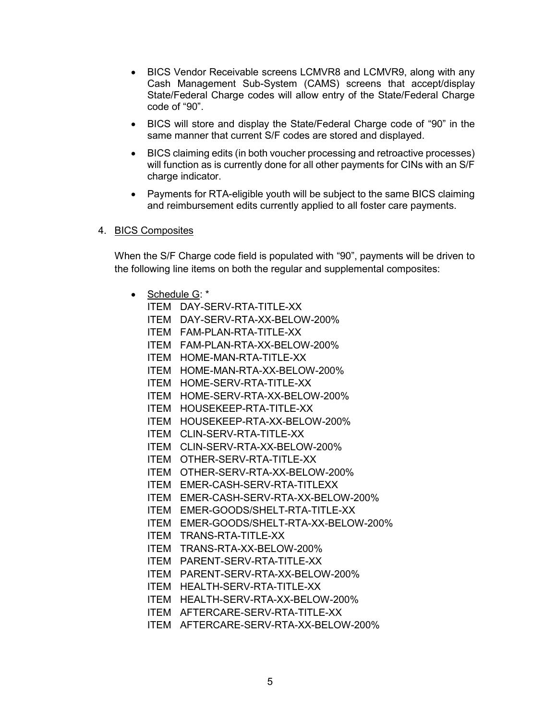- BICS Vendor Receivable screens LCMVR8 and LCMVR9, along with any Cash Management Sub-System (CAMS) screens that accept/display State/Federal Charge codes will allow entry of the State/Federal Charge code of "90".
- BICS will store and display the State/Federal Charge code of "90" in the same manner that current S/F codes are stored and displayed.
- BICS claiming edits (in both voucher processing and retroactive processes) will function as is currently done for all other payments for CINs with an S/F charge indicator.
- Payments for RTA-eligible youth will be subject to the same BICS claiming and reimbursement edits currently applied to all foster care payments.

#### 4. BICS Composites

When the S/F Charge code field is populated with "90", payments will be driven to the following line items on both the regular and supplemental composites:

• Schedule G: \* ITEM DAY-SERV-RTA-TITLE-XX ITEM DAY-SERV-RTA-XX-BELOW-200% ITEM FAM-PLAN-RTA-TITLE-XX ITEM FAM-PLAN-RTA-XX-BELOW-200% ITEM HOME-MAN-RTA-TITLE-XX ITEM HOME-MAN-RTA-XX-BELOW-200% ITEM HOME-SERV-RTA-TITLE-XX ITEM HOME-SERV-RTA-XX-BELOW-200% ITEM HOUSEKEEP-RTA-TITLE-XX ITEM HOUSEKEEP-RTA-XX-BELOW-200% ITEM CLIN-SERV-RTA-TITLE-XX ITEM CLIN-SERV-RTA-XX-BELOW-200% ITEM OTHER-SERV-RTA-TITLE-XX ITEM OTHER-SERV-RTA-XX-BELOW-200% ITEM EMER-CASH-SERV-RTA-TITLEXX ITEM EMER-CASH-SERV-RTA-XX-BELOW-200% ITEM EMER-GOODS/SHELT-RTA-TITLE-XX ITEM EMER-GOODS/SHELT-RTA-XX-BELOW-200% ITEM TRANS-RTA-TITLE-XX ITEM TRANS-RTA-XX-BELOW-200% ITEM PARENT-SERV-RTA-TITLE-XX ITEM PARENT-SERV-RTA-XX-BELOW-200% ITEM HEALTH-SERV-RTA-TITLE-XX ITEM HEALTH-SERV-RTA-XX-BELOW-200% ITEM AFTERCARE-SERV-RTA-TITLE-XX ITEM AFTERCARE-SERV-RTA-XX-BELOW-200%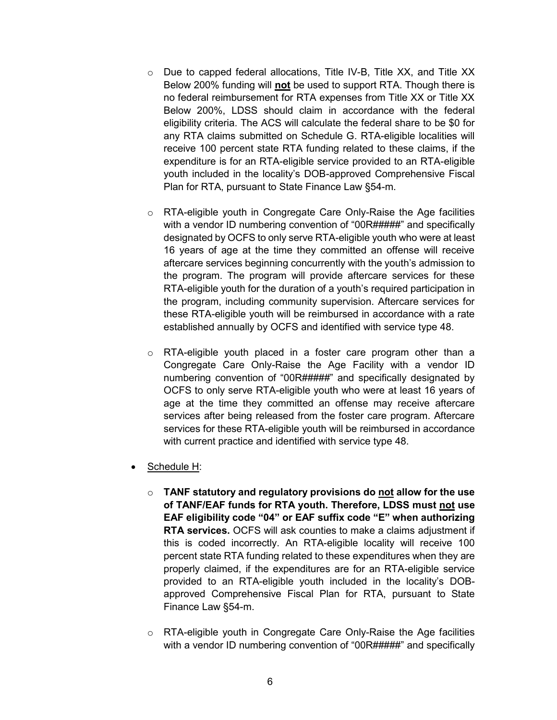- o Due to capped federal allocations, Title IV-B, Title XX, and Title XX Below 200% funding will **not** be used to support RTA. Though there is no federal reimbursement for RTA expenses from Title XX or Title XX Below 200%, LDSS should claim in accordance with the federal eligibility criteria. The ACS will calculate the federal share to be \$0 for any RTA claims submitted on Schedule G. RTA-eligible localities will receive 100 percent state RTA funding related to these claims, if the expenditure is for an RTA-eligible service provided to an RTA-eligible youth included in the locality's DOB-approved Comprehensive Fiscal Plan for RTA, pursuant to State Finance Law §54-m.
- o RTA-eligible youth in Congregate Care Only-Raise the Age facilities with a vendor ID numbering convention of "00R#####" and specifically designated by OCFS to only serve RTA-eligible youth who were at least 16 years of age at the time they committed an offense will receive aftercare services beginning concurrently with the youth's admission to the program. The program will provide aftercare services for these RTA-eligible youth for the duration of a youth's required participation in the program, including community supervision. Aftercare services for these RTA-eligible youth will be reimbursed in accordance with a rate established annually by OCFS and identified with service type 48.
- o RTA-eligible youth placed in a foster care program other than a Congregate Care Only-Raise the Age Facility with a vendor ID numbering convention of "00R#####" and specifically designated by OCFS to only serve RTA-eligible youth who were at least 16 years of age at the time they committed an offense may receive aftercare services after being released from the foster care program. Aftercare services for these RTA-eligible youth will be reimbursed in accordance with current practice and identified with service type 48.
- Schedule H:
	- o **TANF statutory and regulatory provisions do not allow for the use of TANF/EAF funds for RTA youth. Therefore, LDSS must not use EAF eligibility code "04" or EAF suffix code "E" when authorizing RTA services.** OCFS will ask counties to make a claims adjustment if this is coded incorrectly. An RTA-eligible locality will receive 100 percent state RTA funding related to these expenditures when they are properly claimed, if the expenditures are for an RTA-eligible service provided to an RTA-eligible youth included in the locality's DOBapproved Comprehensive Fiscal Plan for RTA, pursuant to State Finance Law §54-m.
	- o RTA-eligible youth in Congregate Care Only-Raise the Age facilities with a vendor ID numbering convention of "00R#####" and specifically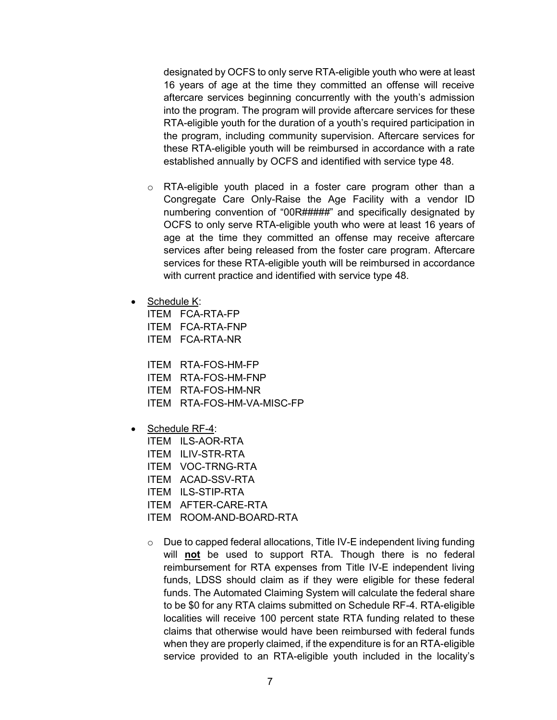designated by OCFS to only serve RTA-eligible youth who were at least 16 years of age at the time they committed an offense will receive aftercare services beginning concurrently with the youth's admission into the program. The program will provide aftercare services for these RTA-eligible youth for the duration of a youth's required participation in the program, including community supervision. Aftercare services for these RTA-eligible youth will be reimbursed in accordance with a rate established annually by OCFS and identified with service type 48.

- o RTA-eligible youth placed in a foster care program other than a Congregate Care Only-Raise the Age Facility with a vendor ID numbering convention of "00R#####" and specifically designated by OCFS to only serve RTA-eligible youth who were at least 16 years of age at the time they committed an offense may receive aftercare services after being released from the foster care program. Aftercare services for these RTA-eligible youth will be reimbursed in accordance with current practice and identified with service type 48.
- Schedule K:

ITEM FCA-RTA-FP ITEM FCA-RTA-FNP ITEM FCA-RTA-NR

ITEM RTA-FOS-HM-FP ITEM RTA-FOS-HM-FNP ITEM RTA-FOS-HM-NR ITEM RTA-FOS-HM-VA-MISC-FP

- Schedule RF-4:
	- ITEM ILS-AOR-RTA
	- ITEM ILIV-STR-RTA
	- ITEM VOC-TRNG-RTA
	- ITEM ACAD-SSV-RTA
	- ITEM ILS-STIP-RTA
	- ITEM AFTER-CARE-RTA
	- ITEM ROOM-AND-BOARD-RTA
	- o Due to capped federal allocations, Title IV-E independent living funding will **not** be used to support RTA. Though there is no federal reimbursement for RTA expenses from Title IV-E independent living funds, LDSS should claim as if they were eligible for these federal funds. The Automated Claiming System will calculate the federal share to be \$0 for any RTA claims submitted on Schedule RF-4. RTA-eligible localities will receive 100 percent state RTA funding related to these claims that otherwise would have been reimbursed with federal funds when they are properly claimed, if the expenditure is for an RTA-eligible service provided to an RTA-eligible youth included in the locality's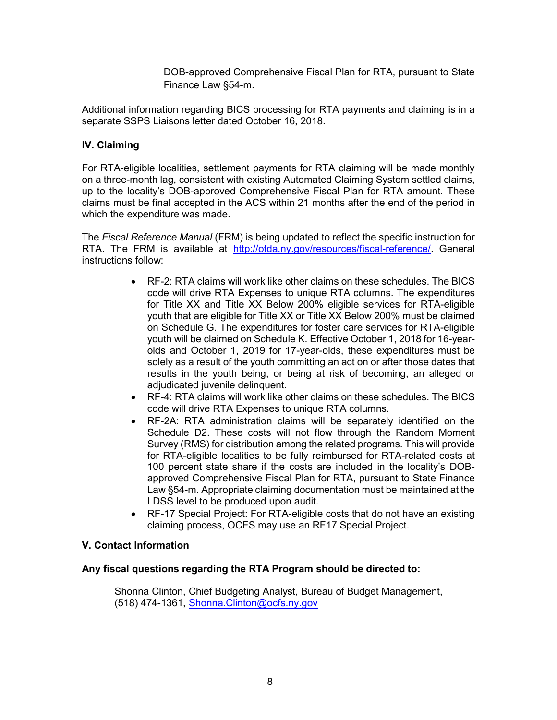DOB-approved Comprehensive Fiscal Plan for RTA, pursuant to State Finance Law §54-m.

Additional information regarding BICS processing for RTA payments and claiming is in a separate SSPS Liaisons letter dated October 16, 2018.

## **IV. Claiming**

For RTA-eligible localities, settlement payments for RTA claiming will be made monthly on a three-month lag, consistent with existing Automated Claiming System settled claims, up to the locality's DOB-approved Comprehensive Fiscal Plan for RTA amount. These claims must be final accepted in the ACS within 21 months after the end of the period in which the expenditure was made.

The *Fiscal Reference Manual* (FRM) is being updated to reflect the specific instruction for RTA. The FRM is available at [http://otda.ny.gov/resources/fiscal-reference/.](http://otda.ny.gov/resources/fiscal-reference/) General instructions follow:

- RF-2: RTA claims will work like other claims on these schedules. The BICS code will drive RTA Expenses to unique RTA columns. The expenditures for Title XX and Title XX Below 200% eligible services for RTA-eligible youth that are eligible for Title XX or Title XX Below 200% must be claimed on Schedule G. The expenditures for foster care services for RTA-eligible youth will be claimed on Schedule K. Effective October 1, 2018 for 16-yearolds and October 1, 2019 for 17-year-olds, these expenditures must be solely as a result of the youth committing an act on or after those dates that results in the youth being, or being at risk of becoming, an alleged or adjudicated juvenile delinquent.
- RF-4: RTA claims will work like other claims on these schedules. The BICS code will drive RTA Expenses to unique RTA columns.
- RF-2A: RTA administration claims will be separately identified on the Schedule D2. These costs will not flow through the Random Moment Survey (RMS) for distribution among the related programs. This will provide for RTA-eligible localities to be fully reimbursed for RTA-related costs at 100 percent state share if the costs are included in the locality's DOBapproved Comprehensive Fiscal Plan for RTA, pursuant to State Finance Law §54-m. Appropriate claiming documentation must be maintained at the LDSS level to be produced upon audit.
- RF-17 Special Project: For RTA-eligible costs that do not have an existing claiming process, OCFS may use an RF17 Special Project.

### **V. Contact Information**

### **Any fiscal questions regarding the RTA Program should be directed to:**

Shonna Clinton, Chief Budgeting Analyst, Bureau of Budget Management, (518) 474-1361, [Shonna.Clinton@ocfs.ny.gov](mailto:Shonna.Clinton@ocfs.ny.gov)